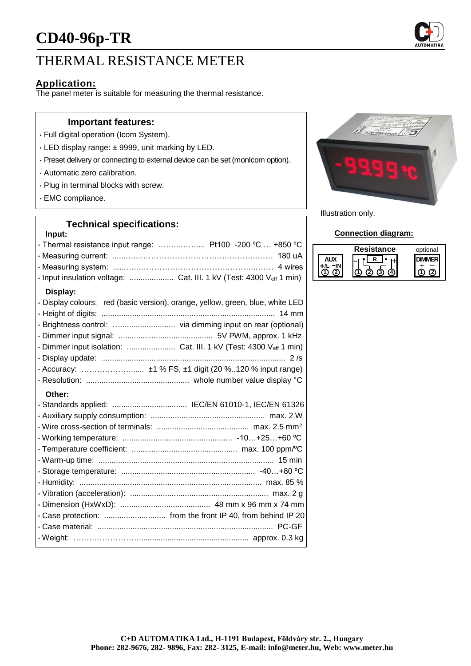# **CD40-96p-TR**

# THERMAL RESISTANCE METER

## **Application:**

The panel meter is suitable for measuring the thermal resistance.

#### **Important features:**

- Full digital operation (Icom System).
- LED display range: ± 9999, unit marking by LED.
- Preset delivery or connecting to external device can be set (monIcom option).
- Automatic zero calibration.
- Plug in terminal blocks with screw.
- EMC compliance.

#### **Technical specifications:**

## **Input:** • Thermal resistance input range: ……...…….... Pt100 -200 ºC … +850 ºC • Measuring current: ......…..……………………………..………..…… 180 uA • Measuring system: ......…..…………………………….………...…… 4 wires • Input insulation voltage: .................... Cat. III. 1 kV (Test: 4300 Veff 1 min) **Display:** • Display colours: red (basic version), orange, yellow, green, blue, white LED • Height of digits: ............................................................................... 14 mm • Brightness control: …......................... via dimming input on rear (optional) • Dimmer input signal: ........................................... 5V PWM, approx. 1 kHz • Dimmer input isolation: ...................... Cat. III. 1 kV (Test: 4300 Veff 1 min) • Display update: .................................................................................... 2 /s • Accuracy: ………………....... ±1 % FS, ±1 digit (20 %..120 % input range) • Resolution: ............................................... whole number value display °C **Other:** • Standards applied: .................................. IEC/EN 61010-1, IEC/EN 61326 • Auxiliary supply consumption: .................................................... max. 2 W • Wire cross-section of terminals: .......................................... max. 2.5 mm<sup>2</sup> • Working temperature: .................................................. -10…+25…+60 ºC • Temperature coefficient: ................................................ max. 100 ppm/ºC • Warm-up time: ................................................................................ 15 min



• Weight: ……………………................................................... approx. 0.3 kg



Illustration only.

#### **Connection diagram:**

| Resistance | optional |
|------------|----------|
|            |          |